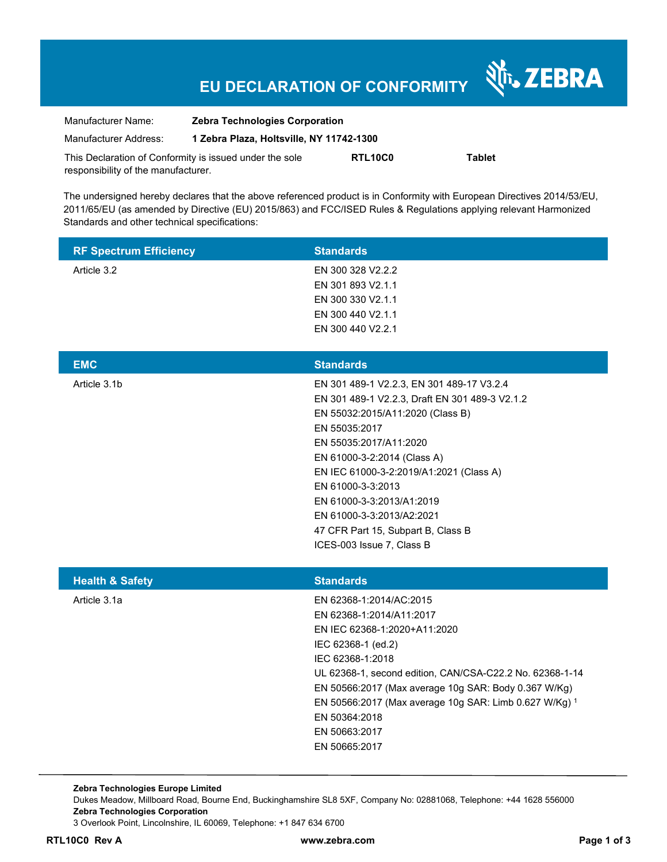# **EU DECLARATION OF CONFORMITY**

Nr. ZEBRA

| Manufacturer Name:                                      | <b>Zebra Technologies Corporation</b>    |         |               |  |
|---------------------------------------------------------|------------------------------------------|---------|---------------|--|
| Manufacturer Address:                                   | 1 Zebra Plaza, Holtsville, NY 11742-1300 |         |               |  |
| This Declaration of Conformity is issued under the sole |                                          | RTL10C0 | <b>Tablet</b> |  |
| responsibility of the manufacturer.                     |                                          |         |               |  |

The undersigned hereby declares that the above referenced product is in Conformity with European Directives 2014/53/EU, 2011/65/EU (as amended by Directive (EU) 2015/863) and FCC/ISED Rules & Regulations applying relevant Harmonized Standards and other technical specifications:

| <b>RF Spectrum Efficiency</b> | <b>Standards</b>                                                                                                                                                                                                                                                                                                                                                                                       |
|-------------------------------|--------------------------------------------------------------------------------------------------------------------------------------------------------------------------------------------------------------------------------------------------------------------------------------------------------------------------------------------------------------------------------------------------------|
| Article 3.2                   | EN 300 328 V2.2.2<br>EN 301 893 V2.1.1<br>EN 300 330 V2.1.1<br>EN 300 440 V2.1.1<br>EN 300 440 V2.2.1                                                                                                                                                                                                                                                                                                  |
| <b>EMC</b>                    | <b>Standards</b>                                                                                                                                                                                                                                                                                                                                                                                       |
| Article 3.1b                  | EN 301 489-1 V2.2.3, EN 301 489-17 V3.2.4<br>EN 301 489-1 V2.2.3, Draft EN 301 489-3 V2.1.2<br>EN 55032:2015/A11:2020 (Class B)<br>EN 55035:2017<br>EN 55035:2017/A11:2020<br>EN 61000-3-2:2014 (Class A)<br>EN IEC 61000-3-2:2019/A1:2021 (Class A)<br>EN 61000-3-3:2013<br>EN 61000-3-3:2013/A1:2019<br>EN 61000-3-3:2013/A2:2021<br>47 CFR Part 15, Subpart B, Class B<br>ICES-003 Issue 7, Class B |
| <b>Health &amp; Safety</b>    | <b>Standards</b>                                                                                                                                                                                                                                                                                                                                                                                       |
| Article 3.1a                  | EN 62368-1:2014/AC:2015<br>EN 62368-1:2014/A11:2017<br>EN IEC 62368-1:2020+A11:2020<br>IEC 62368-1 (ed.2)<br>IEC 62368-1:2018<br>UL 62368-1, second edition, CAN/CSA-C22.2 No. 62368-1-14<br>EN 50566:2017 (Max average 10g SAR: Body 0.367 W/Kg)<br>EN 50566:2017 (Max average 10g SAR: Limb 0.627 W/Kg) 1<br>EN 50364:2018<br>EN 50663:2017<br>EN 50665:2017                                         |

**Zebra Technologies Europe Limited**  Dukes Meadow, Millboard Road, Bourne End, Buckinghamshire SL8 5XF, Company No: 02881068, Telephone: +44 1628 556000 **Zebra Technologies Corporation**  3 Overlook Point, Lincolnshire, IL 60069, Telephone: +1 847 634 6700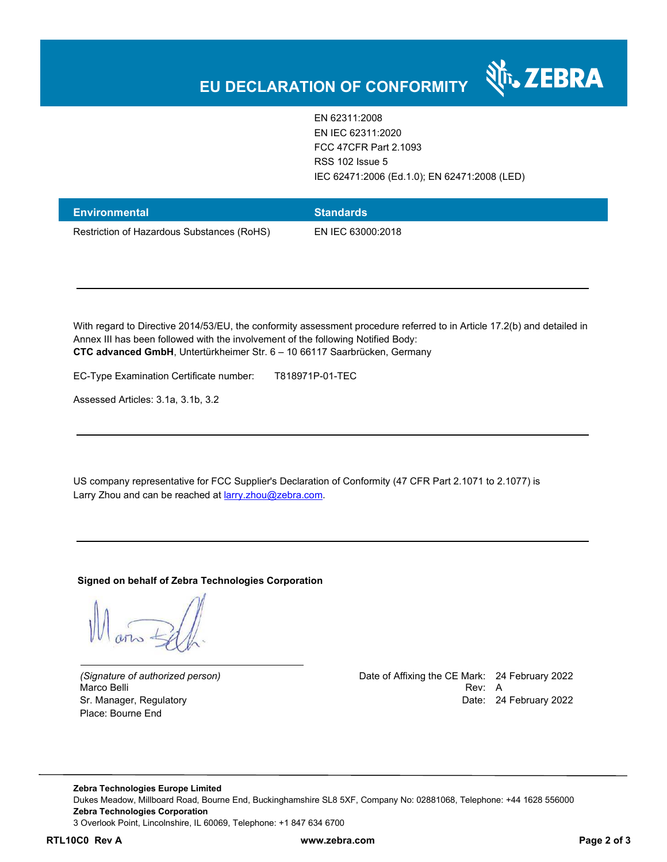

EN 62311:2008 EN IEC 62311:2020 FCC 47CFR Part 2.1093 RSS 102 Issue 5 IEC 62471:2006 (Ed.1.0); EN 62471:2008 (LED)

| Environmental                              | <b>Standards</b>  |
|--------------------------------------------|-------------------|
| Restriction of Hazardous Substances (RoHS) | EN IEC 63000:2018 |

With regard to Directive 2014/53/EU, the conformity assessment procedure referred to in Article 17.2(b) and detailed in Annex III has been followed with the involvement of the following Notified Body: **CTC advanced GmbH**, Untertürkheimer Str. 6 – 10 66117 Saarbrücken, Germany

EC-Type Examination Certificate number: T818971P-01-TEC

Assessed Articles: 3.1a, 3.1b, 3.2

US company representative for FCC Supplier's Declaration of Conformity (47 CFR Part 2.1071 to 2.1077) is Larry Zhou and can be reached at **larry.zhou@zebra.com.** 

### **Signed on behalf of Zebra Technologies Corporation**

Place: Bourne End

*(Signature of authorized person)* Date of Affixing the CE Mark: 24 February 2022 Marco Belli Rev: A Alexander And The Control of the Control of the Control of the Control of the Control of the Control of the Control of the Control of the Control of the Control of the Control of the Control of the Contr Sr. Manager, Regulatory **Date: 24 February 2022** 

**Zebra Technologies Europe Limited**  Dukes Meadow, Millboard Road, Bourne End, Buckinghamshire SL8 5XF, Company No: 02881068, Telephone: +44 1628 556000 **Zebra Technologies Corporation**  3 Overlook Point, Lincolnshire, IL 60069, Telephone: +1 847 634 6700